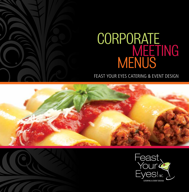# CORPORATE<br>MEETING<br>MENUS

FEAST YOUR EYES CATERING & EVENT DESIGN





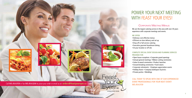

# POWER YOUR NEXT MEETING **WITH FEAST YOUR EYES!**

# Corporate Meeting Menus

We are the largest catering service in the area with over 30 years experience with corporate meetings and events.

# WE OFFER:

Delicious cost-effective menus Efficient on-time delivery and set up Drop off or full service catering Executive gourmet boardroom dining At your location or off site

# COMPLETE SPECIAL EVENT DESIGN AND PLANNING SERVICES PROVIDED FOR:

• Open house receptions • Corporate grand openings • Annual general meetings • Ribbon cutting ceremonies Galas & award ceremonies Product launches Ground breaking ceremonies Fund raisers Corporate retirements Employee appreciation events • Holiday feasts • Company barbeques & picnics • Private parties • Weddings

CALL TODAY TO SPEAK WITH ONE OF OUR EXPERIENCED EVENT PROFESSIONALS FOR YOUR NEXT EVENT! 905.454.0159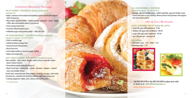# CORPORATE BREAKFAST PACKAGES

# THE EYE OPENER\*: 12.95/PERSON (Delivery starting 8 am) (minimum 25)

- Baker's selection of fresh baked mini breakfast pastries served with whipped butter & preserves
- May include: gourmet muffins Danish pastries croissants scones bagels coffee cakes and breakfast loaves (2 per person)
- Fresh seasonal sliced fruit
- Assorted chilled breakfast juices
- Individual yogurt and granola parfait Add 5.95 each

# THE POWER BREAKFAST\*: 19.95/PERSON (Delivery starting 8am) (minimum 25 guests - NO EXCEPTIONS)

- Fluffy scrambled eggs
- Grilled breakfast sausage links
- Seasoned home fried potatoes
- Sliced fresh fruit
- Fresh baked muffins or toasted English muffins
- Apple and orange juice

# CHEF'S OMELET STATION\*: 24.95 /PERSON (minimum 25 guests)

(Also available: crepe station, Belgian waffle station or pancake station - please request menus)

\* Personalized omelet with your choice of:

• Black Forest ham – mushrooms – onions - tomatoes – peppers – spinach Swiss and cheddar cheese

Served with: seasoned home fried potatoes, breakfast sausages, with butter and preserves, assorted mini breakfast pastries, apple and orange juice Cooking equipment, tables, linen, delivery and staffing extra.

*\* no substitutions* 

# OLA! GOOD MORNING: 17.95/PERSON (minimum 20 guests - NO EXCEPTIONS)

Sausage, egg and cheddar wraps - grilled vegetable, egg and cheddar wraps served with salsa or spicy ketchup, Mexican home fried potatoes with peppers and sliced melon platter

# Hot & Cold Beverages

# COFFEE: (EQUIPMENT PICK UP CHARGE WILL APPLY)

- Small (36 cups) with condiments 75.00
- Medium (50 cups) with condiments 100.00
- Large (100 cups) with condiments 175.00
- $\cdot$  Tea 1.00 / person minimum 36

# COLD DRINKS:

**CATERING & EVENT DESIGN** 

- Soft drinks, juice 1.75 Water 2.25
- Sparkling water 2.75





Call 905.454.0159 or fax 905.454.0206 to place your order or email us at: orders@feastyoureyes.ca www.feastyoureyes.ca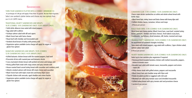# **SANDWICHES**

# TURN YOUR SANDWICH PLATTER INTO A COMBO! (MINIMUM 12)

*A surcharge of 3.95 pp will apply if less than 12 guests. No less than 8 guests.* Select one sandwich platter below and choose any two options from our A LA CARTE menu.

# TRADITIONAL HEARTY SANDWICHES AND WRAPS: 16.95 (COMBO) 9.95 (SANDWICHES ONLY) 10.95 (WRAPS ONLY)

- \* Solid white albacore tuna salad with mixed peppers
- Egg salad with scallions
- Sockeye salmon salad with dill and capers
- Black Forest ham with Swiss cheese
- Roast beef with cheddar and horseradish aioli
- \* Smoked sliced breast of turkey with pomery aioli
- Vegetarian option available (extra charge will apply for vegan or gluten free option)

# SIGNATURE SANDWICHES AND WRAPS: 19.95 (COMBO) 12.95 (SANDWICHES ONLY) 14.95 (WRAPS ONLY)

Grilled balsamic chicken breast with fire roasted peppers, basil aioli Prosciutto & brie with roasted pear and balsamic drizzle Curry marinated chicken breast with pickled red onion and mango aioli Honey grilled flank steak with crispy onions and spicy tomato aioli House roasted hand carved turkey breast with cucumber and cranberry aioli Atlantic smoked salmon with lemon dill cream cheese and cucumber • Black Forest ham with triple cream brie and honey Dijon sauce Chipotle chicken with avocado, aged cheddar and crème fraiche Vegetarian option available (extra charge will apply for vegan or gluten free option)



#### CANADIAN CLUB: 17.95 (COMBO) 10.95 (SANDWICHES ONLY)

Classic triple decker sandwiches on white and whole wheat bread with kettle chips:

- Black forest ham, turkey, bacon and Swiss cheese with honey dijon aioli Grilled chicken, bacon, tomatoes, lettuce and mayo
- *4 Pieces per person*

# BUILD YOUR OWN: 17.95 (COMBO) 10.95 (SANDWICHES ONLY)

Sliced meat and cheese platter (Black Forest ham, roast beef, smoked turkey breast, pastrami, cheddar and Swiss cheese), fresh baked crusty buns, Condiments: leaf lettuce, sliced tomatoes, dill, butter, mustard and mayo

# TRIANGLE PARTY SANDWICHES: 18.95 (COMBO) 11.95 (SANDWICHES ONLY)

An assortment of sandwich triangles including: Tuna salad with mixed peppers, egg salad with scallions, Cajun chicken salad, salmon salad, ham salad *6 Pieces per person*

#### HEARTY WARM SANDWICHES: 20.95 (COMBO) 14.95 (SANDWICHES ONLY) Select up to two varieties plus vegetarian if required:

- Parmesan/herb breaded boneless chicken with melted mozzarella, peppers, onions & tomato sauce
- Breaded veal cutlet with tomato sauce, mozzarella, peppers and onions – Add 6.95
- Philly cheese steak with grilled onions, peppers and mozzarella Black Forest ham and cheddar wrap with Dijon aioli
- Panko breaded zucchini or eggplant with chili aioli
- Meatball sub with zesty tomato sauce and shredded mozzarella Grilled turkey breast with spicy tomato aioli and provolone cheese *1 sandwich per person*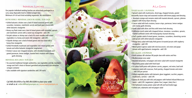# INDIVIDUAL LUNCHES

Our popular individual working lunches are attractively packaged in a carry away disposable bowl or lidded octagon box. Minimum of 4 of each kind excluding vegetarian. No substitutions

# BISTRO BOWLS- INDIVIDUAL LUNCH IN A BOWL: 19.95 EACH

- Grilled balsamic chicken over a bed of mixed seasonal greens with cucumber, tomatoes, matchstick carrots and basil goat cheese with white balsamic vinaigrette
- Honey soy flank steak over a bed of mixed greens with cucumber, sprouts and matchstick carrots with a sweet soy vinaigrette– add 2.95
- Teriyaki salmon or shrimp over a bed of lo mein noodles with mixed vegetables in a honey and sweet chili vinaigrette– add 4.95
- Chipotle shrimps over a bed of mixed greens and rice salad with a honey lime vinaigrette
- Grilled Portobello mushroom and vegetables over mixed greens with tomato and white balsamic vinaigrette (vegetarian)
- Chicken Caesar over chopped romaine, with shredded mozzarella and grated parmesan, lemon wedges, toasted herb croutons with creamy garlic dressing

# INDIVIDUAL BOX LUNCH: 19.95 EACH

- Six assorted traditional triangle sandwiches, raw vegetables and dip, mandarin orange and chef's choice of dessert garnished and presented in an attractive octagon container
- (also available with signature sandwiches add 2.95 each)

Call 905.454.0159 or fax 905.454.0206 to place your order or email us at: orders@feastyoureyes.ca | www.feastyoureyes.ca



# a la Carte

# TOSSED SALADS: 3.95/PERSON

Spinach salad with mushrooms, sliced egg, chopped tomato, grated mozzarella, bacon crisps and seasoned croutons with lemon poppy seed dressing

- Mandarin orange and romaine salad with toasted almonds, sprouts, julienne peppers with honey Dijon dressing
- Caesar salad with herb croutons, bacon crisps, parmesan, lemon wedges and creamy garlic dressing
- Greek salad with olives and feta with lemon herb dressing
- California crunch salad with chopped lettuce, tomatoes, cucumbers, sprouts, toasted sunflower seeds with honey/grainy mustard dressing
- Chef's garden salad of mixed greens, tomatoes, cucumbers, shoestring carrots and sprouts with white balsamic vinaigrette
- Mango berry salad with baby field greens & toasted pecans with raspberry vinaigrette – add 3.95
- Mixed green Caprese salad with mini bocconcini, red onion and grape tomato with aged balsamic vinaigrette– add 3.95

# SIDE SALADS: 2.95/PERSON

- Fresh summer dill coleslaw OR purple slaw with raisins and feta
- Mediterranean orzo salad
- Roasted red potato, red pepper and onion salad with mustard vinaigrette
- Bruschetta pasta salad with fresh basil
- Tri-colour fusilli pasta with julienne carrots, peppers, red onion, basil aioli Lebanese salad with couscous, fresh parsley, chopped tomato and onion – add 3.95 per person
- Grilled vegetable platter with balsamic glaze (eggplant, zucchini, peppers, mushrooms, carrots) – add 3.95
- Quinoa & chick pea with tofu and peppers with herbed infused Moroccan sauce – add 2.95 ( vegetarian | gluten free | vegan | dairy free )
- Old fashioned creamy potato salad with dill and hard boiled eggs
- Grilled corn, edamame and red pepper salad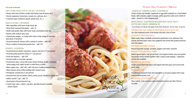*A la carte continued...*

#### CHEF'S HOME MADE SOUP OF THE DAY: 3.95/PERSON

Hearty with meat (chicken noodle, beef barley, bean & bacon, etc.) Hearty vegetarian (minestrone, tomato rice, split pea, etc.) Creamed soups ( butternut squash, potato leek, etc...)

#### SNACK PLATTERS: 3.95/PERSON

- Raw vegetables with home made house dip
- Sliced fresh seasonal fruit platter add .75
- Kettle style potato chips with house made caramelized onion dip
- Nachos with medium spicy salsa
- Toasted pita wedges or crostini with choice of dip (asiago & artichoke, spicy bean or hummus)
- Assorted domestic cheeses with a variety of crackers add 2.00 Pecan cranberry homemade granola bars – add 1.50

#### DESSERTS: 3.95/PERSON

- Assorted dessert platter w/pastries, squares and tarts (11/2 per person)
- Assorted jumbo gourmet cookies (11/2 per person)
- Fresh fruit skewers add 3.95
- Frosted vanilla or chocolate cupcakes
- Frosted loaf cakes: carrot with cream cheese frosting, double chocolate, lemon poppy seed, apple strudel or mixed berry crumble
- Warm apple crisp add 1.00 | add 1.00 more if adding whipped cream
- Warm banana sticky toffee pudding with caramel sauce
- Portuguese custard tarts (1 per person)
- Assorted fruit and nut tartlets (cherry, butter, pecan, blueberry, lemon, etc.)  $\cdot$  Italian cannoli 2 pp – add .75
- 
- Assortment of house biscotti 2 pp
- Custom logo cakes, cookies, cupcakes, specialty desserts available
- please inquire



# "CHeap and CHeerful" Menus

# "GRAB'N GO" SANDWICH LUNCH: 14.95/PERSON

Choice of ham and cheddar, vegetarian or egg salad sandwich on a fresh baked Kaiser, with a banana, apple or orange, jumbo gourmet cookie and a bottle of water - served in a mini shopping bag!

# BUFFET BASICS: 14.95/PERSON INCLUDES DAILY SALAD, ROLLS/ BUTTER AND COOKIES (MINIMUM 20)

*A surcharge of 3.95 pp will apply if less than 20 guests. No less than 12 guests.*

# TEX MEX CHILI CON CARNE OR VEGETARIAN BLACK BEAN CHILI

Our slow simmered south of the border chili with a hint of heat!

# **SPAGHETTI WITH MEATBALLS**

Home made Italian meatballs simmered to perfection in our delicious fresh tomato and basil pasta sauce over spaghetti and served with grated parmesan, and chili peppers

# ROASTED GOURMET SAUSAGE

Roasted gourmet sausage, potatoes, peppers and onion casserole

# NONNA'S ITALIAN ZITI AL FORNO

Baked rigatoni pasta, lean ground beef, rich oregano tomato sauce and grated mozzarella cheese melted together with a crispy crumb topping – vegetarian version also available

# HOMESTYLE MEATLOAF

Tender ground beef with spices and topped with beef gravy and served with garlic mash

# SHEPHERD'S PIE

Our delicious seasoned meat and vegetables in rich gravy topped with crispy baked mashed potato crust

# LOUISIANA STYLE PULLED PORK

Slow cooked, zesty Louisiana style pulled pork served over New Orleans rice pilaf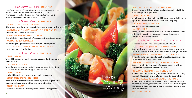# HOT BUFFET LUNCHES - (MINIMUM 20)

*A surcharge of 3.95 pp will apply if less than 20 guests. No less than 12 guests.* Our chef's house made hot buffet menu selections ALL include: Daily vegetable or garden salad, rolls and butter, assortment of desserts Dinner serving add 3.95 / PER PERSON – No substitutions

# Hot Buffet Menu –17.95 PER PERSON SMOKEY BARBECUE CHICKEN LEG SUPREME

Grilled chicken leg smothered in our smokey barbeque sauce w/ roasted garlic mash CLASSIC MEAT OR VEGETARIAN LASAGNA - (MULTIPLES OF 8 ONLY) Beef tomato and 3 cheese filling or Spinach ricotta

# OLD FASHIONED MACARONI AND CHEDDAR BAKE

Oven baked elbow macaroni casserole w/ creamy cheese & toasted crumb topping OVEN ROASTED QUARTER CHICKEN

Slow roasted glazed quarter chicken served with garlic mashed potatoes THE ULTIMATE BEEF STEW WITH CARROTS, POATOES AND PEAS Classic "warm-you-up" comfort food

# HOT BUFFET MENU -21.95 PFR PERSON

# CHICKEN SOUVLAKI

Tender chicken marinated in greek vinaigrette with warm pitas bread, tzatziki & herbed rice pilaf

# SWEET AND SOUR CHICKEN

Tender chunks of crispy chicken mixed with peppers, onions and sweet & sour sauce served with steamed rice and egg rolls with chili plum sauce

# CHICKEN SCHNITZEL

Breaded chicken cutlets with mushroom sauce and rosti potato cakes

# CHICKEN OR BEEF FAJITAS – 3 PER PERSON

Tender strips of chicken or beef with our blend of fajitas spice, pepper & onions with tomatoes, lettuce, salsa, cheddar cheese, guacamole & dirty rice

# CHICKEN STROGANOFF

Chicken strips slow cooked with creamy mushroom sauce with egg noodles



# HONG KONG CHICKEN AND MUSHROOM FRIED RICE

Generous portions of chicken, mushrooms and vegetables stir fried with rice served with egg rolls and plum sauce

# CHICKEN CACCIATORE

A classic Italian stewed dish of prime cut chicken pieces simmered with tomatoes, peppers and tender onions served with Chef's choice of daily hot pasta

# CHEESE AND SPINACH CANNELLONI

with choice of vegetarian or meat sauce

# PARMESAN CHICKEN

Parmesan herb breaded boneless breast of chicken with classic tomato sauce on the side. Accompanied with rosemary garlic roasted potato wedges – add 2.00/pp with addition of cheese

# Hot Buffet lunCH Menus – <sup>a</sup> la Carte

48 hrs notice required – Dinner serving add 3.95 / PER PERSON

# ALL SEASON'S BARBEQUE MENU – 6 OZ SERVING 17.95/ PP

Oven roasted mesquite prime cut chicken pieces, smokey maple baked beans, roasted corn & edamame salad, fresh dill coleslaw, rolls & butter, gourmet cookies

# OVEN BRAISED SMOKEY BEEF BRISKET – AU JUS 4 OZ PORTION \*

With roasted garlic mash, artisanal breads & whipped butter, parmesan oven roasted carrots, purple slaw, dessert platter

# MAPLE TERIYAKI SALMON FILETS– 4 OZ SERVING – 25.95/ PP

With lo mein noodles & Asian vegetables, Asian style chopped salad with honey sweet vinigrette, baguette slices with butter, fruit salad

# HONEY SOY GRILLED FLANK STEAK – 5 OZ SERVING \*

With sweet potato mash, fried red, green & yellow peppers w/ onions, dainty dinner rolls & butter, garden salad with house vinaigrette, dessert platter

# HOISEN GINGER BEEF TENDERLOIN SKEWERS – 6 OZ SERVING \*

With parmesan roasted baby red potatoes, romaine arugula salad with oven roasted cherry tomatoes, yellow peppers & onion sprouts w/ Italian vinaigrette, grilled vegetable platter with balsamic glaze, artisanal bread board & whipped butter, custard pastries

\* MARKET PRICE WILL APPLY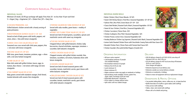# Corporate individual paCkaged Meals

INDIVIDUAL SALADS

Minimum 20 meals | \$3.95 pp surcharge will apply if less than 20 - no less than 10 per each kind  $V = V$ egan | Veg = Vegetarian | GF = Gluten Free | DF = Dairy Free

#### CHICKEN PRIMAVERA -\$20

Grilled balsamic chicken served with a hearty serving of pasta primavera

# MEDITERRANEAN QUINOA SALAD V I GF- \$20

Served on bed of baby greens with lentils, peppers, red onion, olives  $+$  feta with lemon vinaigrette

# GREEK COUS COUS SALAD VEG| GF-\$20

Seasoned cous cous served with chick peas, peppers, feta + red onion with lemon vinaigrette

# NICOISE SALAD GF | DF-\$25

With tuna, green beans, tomatoes, potatoes, eggs + olives with a red wine herbed vinaigrette

#### COBB SALAD GF- \$25

Main dish salad with grilled chicken, bacon, eggs, tomatoes, blue cheese  $+$  red onions with tangy red wine vinaigrette

# THAI SHRIMP SALAD DF| GF-\$25

Baby greens served with mandarin oranges, fresh fennel, toasted almonds with sesame thai vinaigrette

#### TERIYAKI SALMON W/ SOBA NOODLES DF-\$25

Served with soba noodles, green beans  $+$  medley of vegetables

HONEY SOY FLANK STEAK SALAD GF | DF-\$25

Served over bed of mixed greens, cucumbers, sprouts and matchstick carrots with sweet soy vinaigrette

#### TUSCAN CHICKEN SALAD GF-\$25

Chopped lettuce with grilled balsamic chicken, baby bocconcino, charred artichokes, asparagus, tomatoes + cucumber, dark balsamic vinaigrette

# GREEK CHICKEN SALAD GF-\$25

Chopped romaine with grilled chicken souvlaki, feta, tomatoes, cucumbers, red onions, Kalamata olives with lemon vinaigrette

#### CHICKEN CAESAR SALAD-\$25

Served over bed of mixed seasonal greens with cucumber, tomato, matchstick carrots, goat cheese with white balsamic vinaigrette

#### GRILLED BALSAMIC CHICKEN SALAD GF-\$25

Served over bed of mixed seasonal greens with cucumber, tomato, matchstick carrots, goat cheese with white balsamic vinaigrette

#### INDIVIDUAL WARM MEALS

Butter Chicken | Rice| Chana Masala- GF \$25 Sweet Chili Shrimp Skewer | Fried Rice | Seasonal Vegetables- GF I DF \$25 Salmon Filet | Rice Pilaf | Green Beans GF I DF-- \$25 Classic Beef Brisket | Roasted Garlic Mash | Seasonal Vegetables- GF-\$32 Sweet & Sour Chicken | Fried Rice | Seasonal Vegetables-\$25 Chicken Cacciatore | Penne Pasta- \$25 Chicken Scallopine | Rice Pilaf | Steamed Vegetables- \$25 Chicken Picata | Lemon Orzo | Seasonal Vegetables-\$25 Smokey Barbecue Chicken Leg Supreme | Roasted Garlic Mash | Seasonal Vegetables-\$20 Lemon Garlic Roasted Chicken Pieces with Orecchiette Creamy Pasta with Rose Sauce-\$20 Breaded Chicken Parm | Penne Pasta with Tomato Basil Sauce-\$25 Chicken Souvlaki | Rice pilaf |Grilled Peppers |Tzatziki-\$25

# ORDERING INFORMATION

- 48 hours notice required
- Cold breakfast minimum 25 people
- (not available Monday)
- Hot breakfast minimum 25 people
- Delivery from 8:00 am only
- Lunch minimum 12
- Dinner minimum 25
- Higher minimum orders may apply on weekends or holidays
- Special dietary meals available ( lactose, gluten free, vegan, halal ) Surcharge of \$25 per meal
- Disposable dinnerware 1.00/person
- Prices subject to change without notice
- Split orders will incur added charges
- Buffet linen/decor for buffet or guest tables (with staffing)
- China service (with staffing)
- Tables, chairs, tent rental (with staffing)
- Please call us for details and pricing.





# **DELIVERY**

- \$45.00 delivery charge for all COLD LOCAL area drop off between 8:00 a.m. and 2:00 p.m.
- \$75.00 delivery charge for HOT local area drop off between 8:00 a.m. and 2:00 p.m.
- Extra charges will apply to:
- Deliveries beyond our local delivery area
- Deliveries outside our normal delivery schedule
- Deliveries on weekends or holidays
- Failure to return all equipment will incur replacement charges

Can provide chafing dishes, sterno, coffee urns, etc., to keep food hot

# DINNERWARE & RENTAL OPTIONS